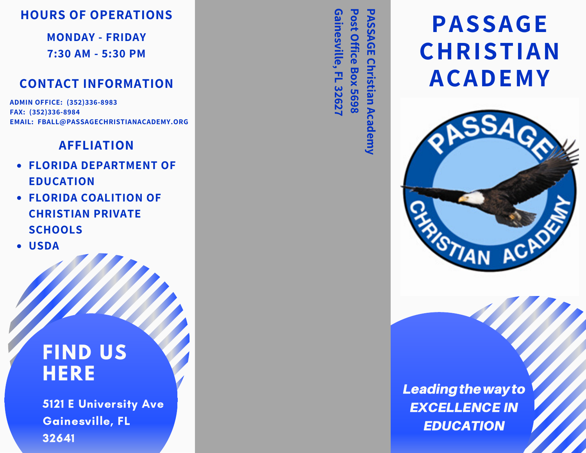## **HOURS OF OPERATIONS**

**MONDAY - FRIDAY 7:30 AM - 5:30 PM**

### **CONTACT INFORMATION**

**ADMIN OFFICE: (352)336-8983 FAX: (352)336-8984 EMAIL: FBALL@PASSAGECHRISTIANACADEMY.ORG**

#### **AFFLIATION**

- **FLORIDA DEPARTMENT OF EDUCATION**
- **FLORIDA COALITION OF CHRISTIAN PRIVATE SCHOOLS**
- **USDA**

## **FIND US HERE**

5121 E University Ave Gainesville, FL 32641

**P A** <u>ທ</u> <u>ທ</u> **A G E C h ris tia n A c a P o s t O ffic e B o x 5 6 9 8 G ain e s ville, F L** <u>ယ</u> **2 6 2 7**

> **d e m y**

# **PASSAGE CHRISTIAN ACADEMY**



Leading the way to EXCELLENCE IN EDUCATION